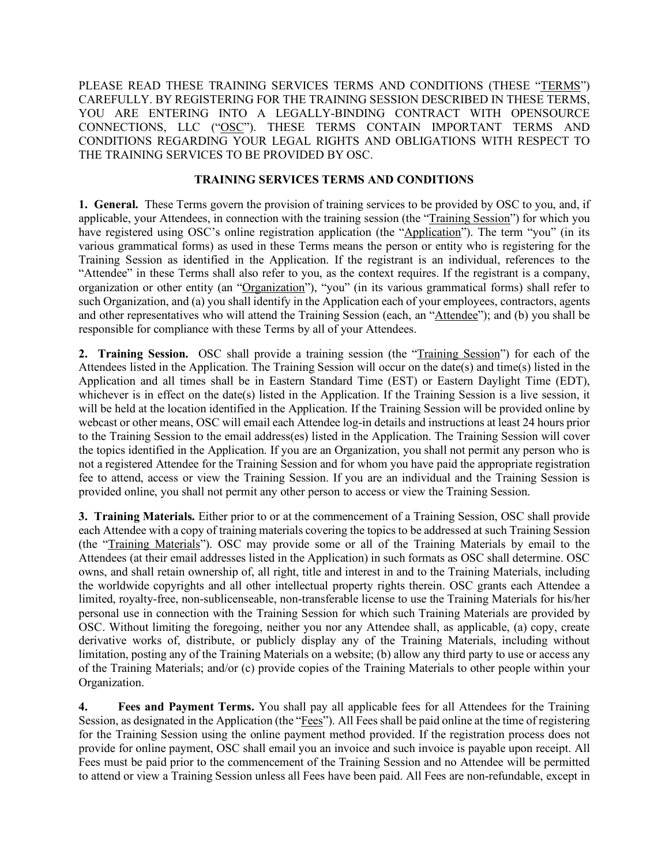PLEASE READ THESE TRAINING SERVICES TERMS AND CONDITIONS (THESE "TERMS") CAREFULLY. BY REGISTERING FOR THE TRAINING SESSION DESCRIBED IN THESE TERMS, YOU ARE ENTERING INTO A LEGALLY-BINDING CONTRACT WITH OPENSOURCE CONNECTIONS, LLC ("OSC"). THESE TERMS CONTAIN IMPORTANT TERMS AND CONDITIONS REGARDING YOUR LEGAL RIGHTS AND OBLIGATIONS WITH RESPECT TO THE TRAINING SERVICES TO BE PROVIDED BY OSC.

## **TRAINING SERVICES TERMS AND CONDITIONS**

**1. General.** These Terms govern the provision of training services to be provided by OSC to you, and, if applicable, your Attendees, in connection with the training session (the "Training Session") for which you have registered using OSC's online registration application (the "Application"). The term "you" (in its various grammatical forms) as used in these Terms means the person or entity who is registering for the Training Session as identified in the Application. If the registrant is an individual, references to the "Attendee" in these Terms shall also refer to you, as the context requires. If the registrant is a company, organization or other entity (an "Organization"), "you" (in its various grammatical forms) shall refer to such Organization, and (a) you shall identify in the Application each of your employees, contractors, agents and other representatives who will attend the Training Session (each, an "Attendee"); and (b) you shall be responsible for compliance with these Terms by all of your Attendees.

**2. Training Session.** OSC shall provide a training session (the "Training Session") for each of the Attendees listed in the Application. The Training Session will occur on the date(s) and time(s) listed in the Application and all times shall be in Eastern Standard Time (EST) or Eastern Daylight Time (EDT), whichever is in effect on the date(s) listed in the Application. If the Training Session is a live session, it will be held at the location identified in the Application. If the Training Session will be provided online by webcast or other means, OSC will email each Attendee log-in details and instructions at least 24 hours prior to the Training Session to the email address(es) listed in the Application. The Training Session will cover the topics identified in the Application. If you are an Organization, you shall not permit any person who is not a registered Attendee for the Training Session and for whom you have paid the appropriate registration fee to attend, access or view the Training Session. If you are an individual and the Training Session is provided online, you shall not permit any other person to access or view the Training Session.

**3. Training Materials.** Either prior to or at the commencement of a Training Session, OSC shall provide each Attendee with a copy of training materials covering the topics to be addressed at such Training Session (the "Training Materials"). OSC may provide some or all of the Training Materials by email to the Attendees (at their email addresses listed in the Application) in such formats as OSC shall determine. OSC owns, and shall retain ownership of, all right, title and interest in and to the Training Materials, including the worldwide copyrights and all other intellectual property rights therein. OSC grants each Attendee a limited, royalty-free, non-sublicenseable, non-transferable license to use the Training Materials for his/her personal use in connection with the Training Session for which such Training Materials are provided by OSC. Without limiting the foregoing, neither you nor any Attendee shall, as applicable, (a) copy, create derivative works of, distribute, or publicly display any of the Training Materials, including without limitation, posting any of the Training Materials on a website; (b) allow any third party to use or access any of the Training Materials; and/or (c) provide copies of the Training Materials to other people within your Organization.

**4. Fees and Payment Terms.** You shall pay all applicable fees for all Attendees for the Training Session, as designated in the Application (the "Fees"). All Fees shall be paid online at the time of registering for the Training Session using the online payment method provided. If the registration process does not provide for online payment, OSC shall email you an invoice and such invoice is payable upon receipt. All Fees must be paid prior to the commencement of the Training Session and no Attendee will be permitted to attend or view a Training Session unless all Fees have been paid. All Fees are non-refundable, except in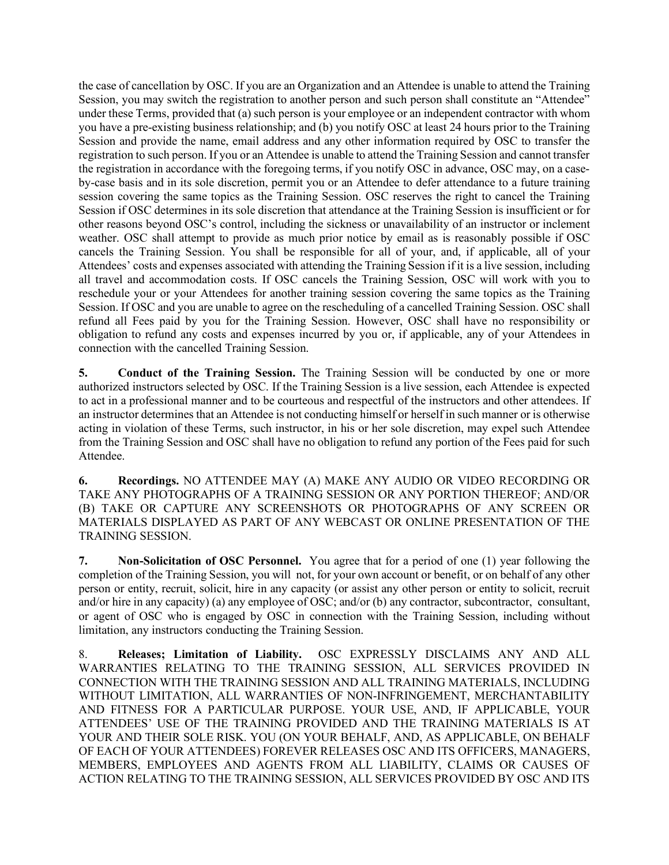the case of cancellation by OSC. If you are an Organization and an Attendee is unable to attend the Training Session, you may switch the registration to another person and such person shall constitute an "Attendee" under these Terms, provided that (a) such person is your employee or an independent contractor with whom you have a pre-existing business relationship; and (b) you notify OSC at least 24 hours prior to the Training Session and provide the name, email address and any other information required by OSC to transfer the registration to such person. If you or an Attendee is unable to attend the Training Session and cannot transfer the registration in accordance with the foregoing terms, if you notify OSC in advance, OSC may, on a caseby-case basis and in its sole discretion, permit you or an Attendee to defer attendance to a future training session covering the same topics as the Training Session. OSC reserves the right to cancel the Training Session if OSC determines in its sole discretion that attendance at the Training Session is insufficient or for other reasons beyond OSC's control, including the sickness or unavailability of an instructor or inclement weather. OSC shall attempt to provide as much prior notice by email as is reasonably possible if OSC cancels the Training Session. You shall be responsible for all of your, and, if applicable, all of your Attendees' costs and expenses associated with attending the Training Session if it is a live session, including all travel and accommodation costs. If OSC cancels the Training Session, OSC will work with you to reschedule your or your Attendees for another training session covering the same topics as the Training Session. If OSC and you are unable to agree on the rescheduling of a cancelled Training Session. OSC shall refund all Fees paid by you for the Training Session. However, OSC shall have no responsibility or obligation to refund any costs and expenses incurred by you or, if applicable, any of your Attendees in connection with the cancelled Training Session.

**5. Conduct of the Training Session.** The Training Session will be conducted by one or more authorized instructors selected by OSC. If the Training Session is a live session, each Attendee is expected to act in a professional manner and to be courteous and respectful of the instructors and other attendees. If an instructor determines that an Attendee is not conducting himself or herself in such manner or is otherwise acting in violation of these Terms, such instructor, in his or her sole discretion, may expel such Attendee from the Training Session and OSC shall have no obligation to refund any portion of the Fees paid for such Attendee.

**6. Recordings.** NO ATTENDEE MAY (A) MAKE ANY AUDIO OR VIDEO RECORDING OR TAKE ANY PHOTOGRAPHS OF A TRAINING SESSION OR ANY PORTION THEREOF; AND/OR (B) TAKE OR CAPTURE ANY SCREENSHOTS OR PHOTOGRAPHS OF ANY SCREEN OR MATERIALS DISPLAYED AS PART OF ANY WEBCAST OR ONLINE PRESENTATION OF THE TRAINING SESSION.

**7. Non-Solicitation of OSC Personnel.** You agree that for a period of one (1) year following the completion of the Training Session, you will not, for your own account or benefit, or on behalf of any other person or entity, recruit, solicit, hire in any capacity (or assist any other person or entity to solicit, recruit and/or hire in any capacity) (a) any employee of OSC; and/or (b) any contractor, subcontractor, consultant, or agent of OSC who is engaged by OSC in connection with the Training Session, including without limitation, any instructors conducting the Training Session.

8. **Releases; Limitation of Liability.** OSC EXPRESSLY DISCLAIMS ANY AND ALL WARRANTIES RELATING TO THE TRAINING SESSION, ALL SERVICES PROVIDED IN CONNECTION WITH THE TRAINING SESSION AND ALL TRAINING MATERIALS, INCLUDING WITHOUT LIMITATION, ALL WARRANTIES OF NON-INFRINGEMENT, MERCHANTABILITY AND FITNESS FOR A PARTICULAR PURPOSE. YOUR USE, AND, IF APPLICABLE, YOUR ATTENDEES' USE OF THE TRAINING PROVIDED AND THE TRAINING MATERIALS IS AT YOUR AND THEIR SOLE RISK. YOU (ON YOUR BEHALF, AND, AS APPLICABLE, ON BEHALF OF EACH OF YOUR ATTENDEES) FOREVER RELEASES OSC AND ITS OFFICERS, MANAGERS, MEMBERS, EMPLOYEES AND AGENTS FROM ALL LIABILITY, CLAIMS OR CAUSES OF ACTION RELATING TO THE TRAINING SESSION, ALL SERVICES PROVIDED BY OSC AND ITS